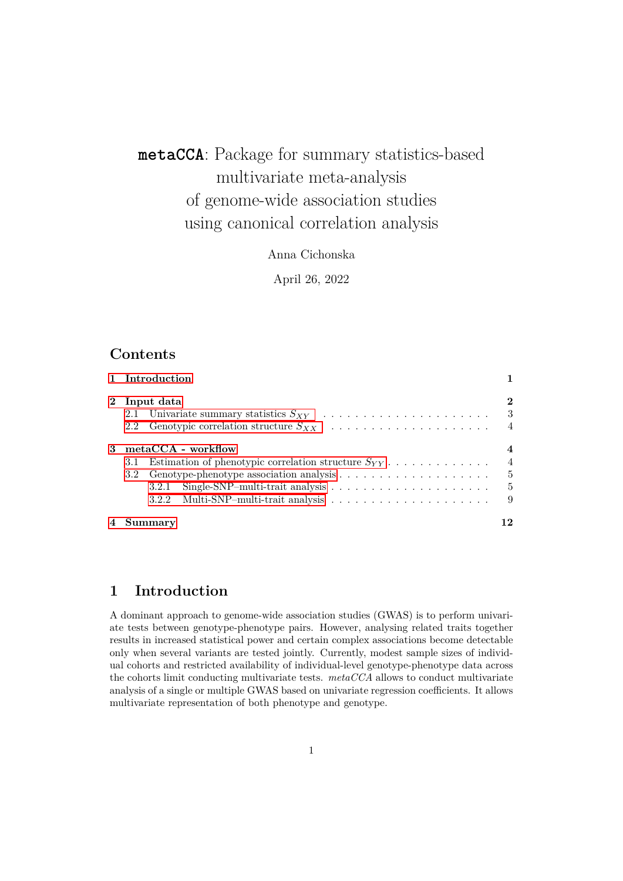# **metaCCA**: Package for summary statistics-based multivariate meta-analysis of genome-wide association studies using canonical correlation analysis

Anna Cichonska

April 26, 2022

## **Contents**

|                | 1 Introduction                                                 |                 |  |  |  |  |  |  |
|----------------|----------------------------------------------------------------|-----------------|--|--|--|--|--|--|
|                | 2 Input data                                                   |                 |  |  |  |  |  |  |
|                | 2.2 Genotypic correlation structure $S_{XX}$                   | $\overline{4}$  |  |  |  |  |  |  |
| 3              | $metaCCA$ - workflow                                           |                 |  |  |  |  |  |  |
|                | Estimation of phenotypic correlation structure $S_{YY}$<br>3.1 |                 |  |  |  |  |  |  |
|                | - 5<br>3.2 <sub>1</sub>                                        |                 |  |  |  |  |  |  |
|                |                                                                | $5\phantom{.0}$ |  |  |  |  |  |  |
|                |                                                                | 9               |  |  |  |  |  |  |
| $\overline{4}$ | Summary                                                        |                 |  |  |  |  |  |  |

## <span id="page-0-0"></span>**1 Introduction**

A dominant approach to genome-wide association studies (GWAS) is to perform univariate tests between genotype-phenotype pairs. However, analysing related traits together results in increased statistical power and certain complex associations become detectable only when several variants are tested jointly. Currently, modest sample sizes of individual cohorts and restricted availability of individual-level genotype-phenotype data across the cohorts limit conducting multivariate tests. *metaCCA* allows to conduct multivariate analysis of a single or multiple GWAS based on univariate regression coefficients. It allows multivariate representation of both phenotype and genotype.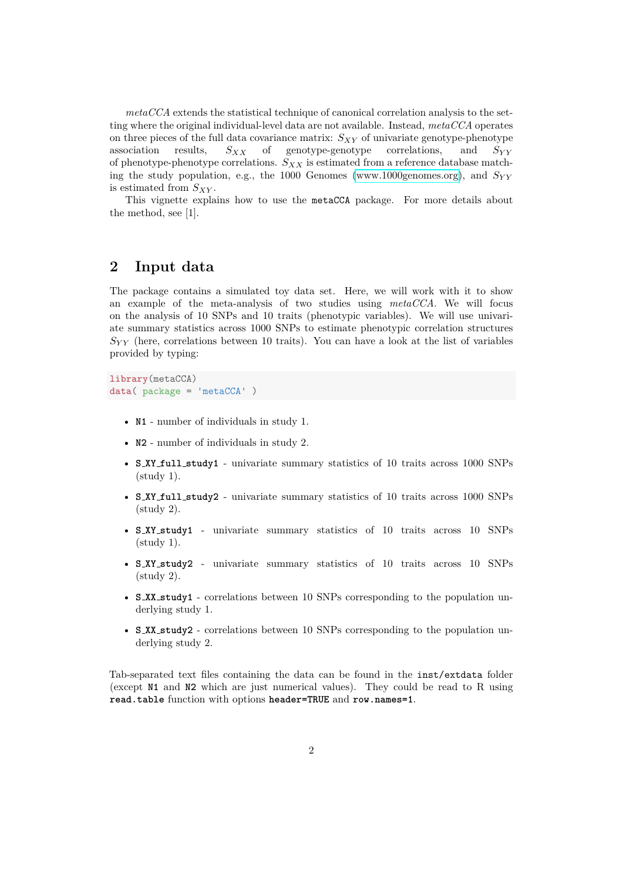*metaCCA* extends the statistical technique of canonical correlation analysis to the setting where the original individual-level data are not available. Instead, *metaCCA* operates on three pieces of the full data covariance matrix: *SXY* of univariate genotype-phenotype association results,  $S_{XX}$  of genotype-genotype correlations, and  $S_{YY}$ of phenotype-phenotype correlations. *SXX* is estimated from a reference database matching the study population, e.g., the 1000 Genomes [\(www.1000genomes.org\)](www.1000genomes.org), and *SY Y* is estimated from *SXY* .

This vignette explains how to use the metaCCA package. For more details about the method, see [1].

## <span id="page-1-0"></span>**2 Input data**

The package contains a simulated toy data set. Here, we will work with it to show an example of the meta-analysis of two studies using *metaCCA*. We will focus on the analysis of 10 SNPs and 10 traits (phenotypic variables). We will use univariate summary statistics across 1000 SNPs to estimate phenotypic correlation structures  $S_{YY}$  (here, correlations between 10 traits). You can have a look at the list of variables provided by typing:

```
library(metaCCA)
data( package = 'metaCCA' )
```
- **N1** number of individuals in study 1.
- **N2** number of individuals in study 2.
- **S XY full study1** univariate summary statistics of 10 traits across 1000 SNPs  $(stat 1).$
- **S XY full study2** univariate summary statistics of 10 traits across 1000 SNPs (study 2).
- **S XY study1** univariate summary statistics of 10 traits across 10 SNPs  $(staty 1).$
- **S XY study2** univariate summary statistics of 10 traits across 10 SNPs (study 2).
- **S XX study1** correlations between 10 SNPs corresponding to the population underlying study 1.
- **S XX study2** correlations between 10 SNPs corresponding to the population underlying study 2.

Tab-separated text files containing the data can be found in the inst/extdata folder (except **N1** and **N2** which are just numerical values). They could be read to R using **read.table** function with options **header=TRUE** and **row.names=1**.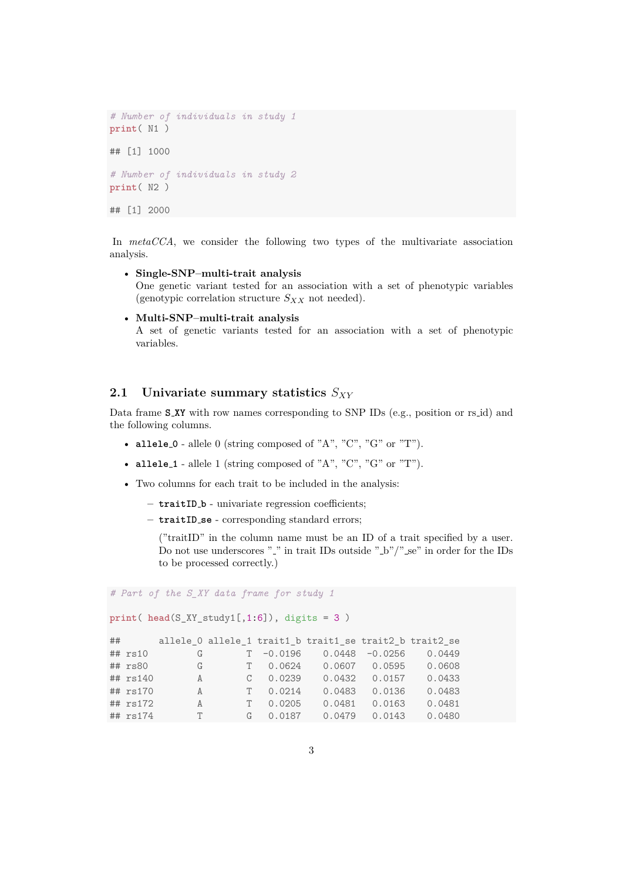```
# Number of individuals in study 1
print( N1 )
## [1] 1000
# Number of individuals in study 2
print( N2 )
## [1] 2000
```
In *metaCCA*, we consider the following two types of the multivariate association analysis.

• **Single-SNP–multi-trait analysis** One genetic variant tested for an association with a set of phenotypic variables (genotypic correlation structure  $S_{XX}$  not needed).

```
• Multi-SNP–multi-trait analysis
  A set of genetic variants tested for an association with a set of phenotypic
  variables.
```
#### <span id="page-2-0"></span>**2.1 Univariate summary statistics** *SXY*

Data frame **S XY** with row names corresponding to SNP IDs (e.g., position or rs id) and the following columns.

- **allele 0** allele 0 (string composed of "A", "C", "G" or "T").
- **allele 1** allele 1 (string composed of "A", "C", "G" or "T").
- Two columns for each trait to be included in the analysis:
	- **– traitID b** univariate regression coefficients;
	- **– traitID se** corresponding standard errors;

("traitID" in the column name must be an ID of a trait specified by a user. Do not use underscores "..." in trait IDs outside ".b"/".se" in order for the IDs to be processed correctly.)

*# Part of the S\_XY data frame for study 1*

```
print( head(S_XY_study1[,1:6]), digits = 3 )
```

| $\#$ #      |              |              | allele 0 allele 1 trait1 b trait1 se trait2 b trait2 se |                   |        |
|-------------|--------------|--------------|---------------------------------------------------------|-------------------|--------|
| $##$ $rs10$ | G            |              | $T -0.0196$ 0.0448 -0.0256 0.0449                       |                   |        |
| $##$ $rs80$ | G            |              | T 0.0624 0.0607 0.0595                                  |                   | 0.0608 |
| ## rs140    | $\mathbf{A}$ | $C = 0.0239$ |                                                         | $0.0432$ $0.0157$ | 0.0433 |
| $##$ rs170  | $\mathsf{A}$ | T 0.0214     |                                                         | 0.0483 0.0136     | 0.0483 |
| $##$ rs172  | A            | T 0.0205     |                                                         | $0.0481$ 0.0163   | 0.0481 |
| ## rs174    | T            |              | $G = 0.0187$ 0.0479 0.0143                              |                   | 0.0480 |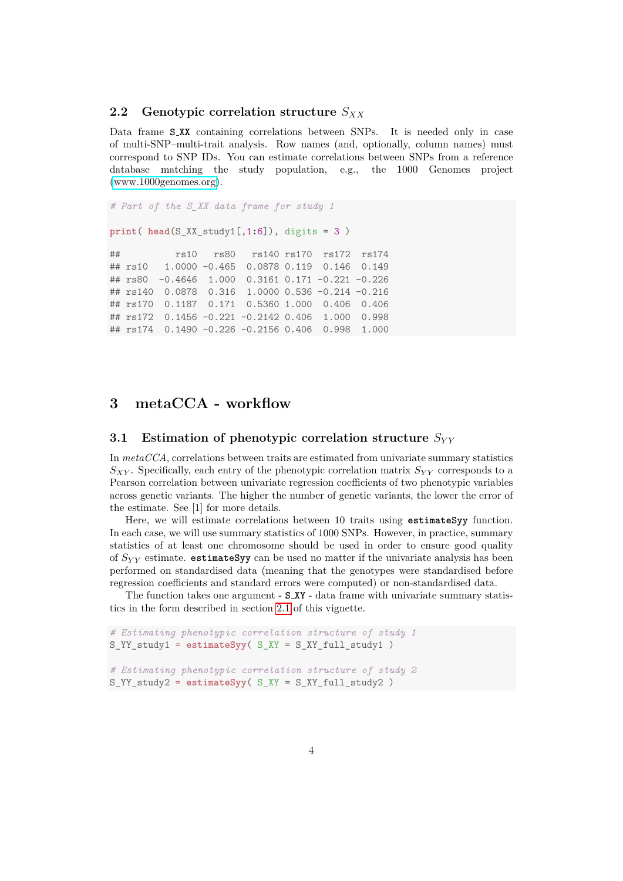## <span id="page-3-0"></span>**2.2 Genotypic correlation structure** *SXX*

Data frame **S XX** containing correlations between SNPs. It is needed only in case of multi-SNP–multi-trait analysis. Row names (and, optionally, column names) must correspond to SNP IDs. You can estimate correlations between SNPs from a reference database matching the study population, e.g., the 1000 Genomes project [\(www.1000genomes.org\)](www.1000genomes.org).

```
# Part of the S_XX data frame for study 1
print( head(S_XX_study1[,1:6]), digits = 3 )
## rs10 rs80 rs140 rs170 rs172 rs174
## rs10 1.0000 -0.465 0.0878 0.119 0.146 0.149
## rs80 -0.4646 1.000 0.3161 0.171 -0.221 -0.226
## rs140 0.0878 0.316 1.0000 0.536 -0.214 -0.216
## rs170 0.1187 0.171 0.5360 1.000 0.406 0.406
## rs172 0.1456 -0.221 -0.2142 0.406 1.000 0.998
## rs174 0.1490 -0.226 -0.2156 0.406 0.998 1.000
```
## <span id="page-3-1"></span>**3 metaCCA - workflow**

## <span id="page-3-2"></span>**3.1 Estimation of phenotypic correlation structure**  $S_{YY}$

In *metaCCA*, correlations between traits are estimated from univariate summary statistics *SXY* . Specifically, each entry of the phenotypic correlation matrix *SY Y* corresponds to a Pearson correlation between univariate regression coefficients of two phenotypic variables across genetic variants. The higher the number of genetic variants, the lower the error of the estimate. See [1] for more details.

Here, we will estimate correlations between 10 traits using **estimateSyy** function. In each case, we will use summary statistics of 1000 SNPs. However, in practice, summary statistics of at least one chromosome should be used in order to ensure good quality of *SY Y* estimate. **estimateSyy** can be used no matter if the univariate analysis has been performed on standardised data (meaning that the genotypes were standardised before regression coefficients and standard errors were computed) or non-standardised data.

The function takes one argument - **S XY** - data frame with univariate summary statistics in the form described in section [2.1](#page-2-0) of this vignette.

```
# Estimating phenotypic correlation structure of study 1
S_YY_study1 = estimateSyy( S_XY = S_XY_full_study1 )
# Estimating phenotypic correlation structure of study 2
S_YY_study2 = estimateSyy( S_XY = S_XY_full_study2 )
```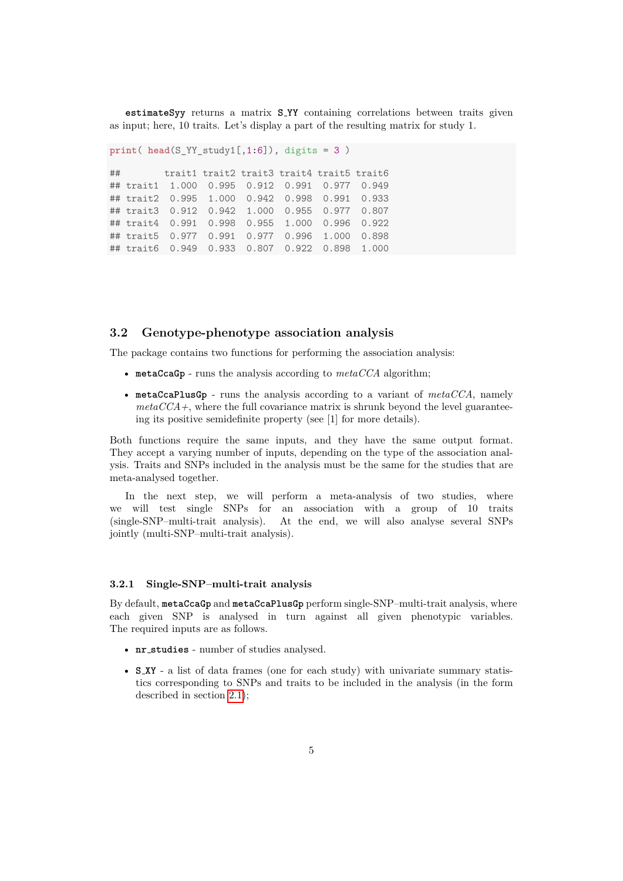**estimateSyy** returns a matrix **S YY** containing correlations between traits given as input; here, 10 traits. Let's display a part of the resulting matrix for study 1.

```
print( head(S_YY_study1[,1:6]), digits = 3 )
```
## trait1 trait2 trait3 trait4 trait5 trait6 ## trait1 1.000 0.995 0.912 0.991 0.977 0.949 ## trait2 0.995 1.000 0.942 0.998 0.991 0.933 ## trait3 0.912 0.942 1.000 0.955 0.977 0.807 ## trait4 0.991 0.998 0.955 1.000 0.996 0.922 ## trait5 0.977 0.991 0.977 0.996 1.000 0.898 ## trait6 0.949 0.933 0.807 0.922 0.898 1.000

#### <span id="page-4-0"></span>**3.2 Genotype-phenotype association analysis**

The package contains two functions for performing the association analysis:

- **metaCcaGp** runs the analysis according to *metaCCA* algorithm;
- **metaCcaPlusGp** runs the analysis according to a variant of *metaCCA*, namely  $metaCCA+$ , where the full covariance matrix is shrunk beyond the level guaranteeing its positive semidefinite property (see [1] for more details).

Both functions require the same inputs, and they have the same output format. They accept a varying number of inputs, depending on the type of the association analysis. Traits and SNPs included in the analysis must be the same for the studies that are meta-analysed together.

In the next step, we will perform a meta-analysis of two studies, where we will test single SNPs for an association with a group of 10 traits (single-SNP–multi-trait analysis). At the end, we will also analyse several SNPs jointly (multi-SNP–multi-trait analysis).

#### <span id="page-4-1"></span>**3.2.1 Single-SNP–multi-trait analysis**

By default, **metaCcaGp** and **metaCcaPlusGp** perform single-SNP–multi-trait analysis, where each given SNP is analysed in turn against all given phenotypic variables. The required inputs are as follows.

- **nr studies** number of studies analysed.
- **S XY** a list of data frames (one for each study) with univariate summary statistics corresponding to SNPs and traits to be included in the analysis (in the form described in section [2.1\)](#page-2-0);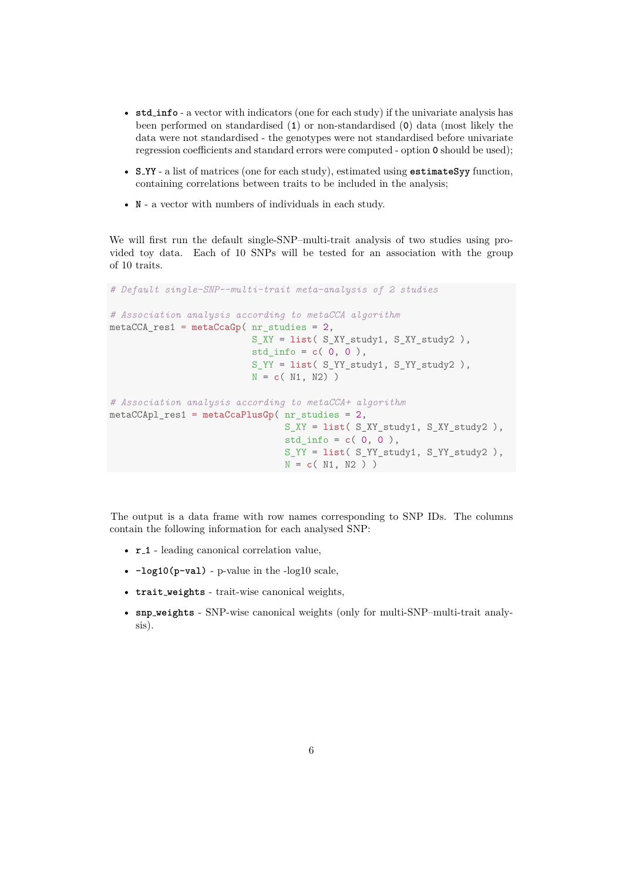- **std info** a vector with indicators (one for each study) if the univariate analysis has been performed on standardised (**1**) or non-standardised (**0**) data (most likely the data were not standardised - the genotypes were not standardised before univariate regression coefficients and standard errors were computed - option **0** should be used);
- **S YY** a list of matrices (one for each study), estimated using **estimateSyy** function, containing correlations between traits to be included in the analysis;
- **N** a vector with numbers of individuals in each study.

We will first run the default single-SNP–multi-trait analysis of two studies using provided toy data. Each of 10 SNPs will be tested for an association with the group of 10 traits.

```
# Default single-SNP--multi-trait meta-analysis of 2 studies
# Association analysis according to metaCCA algorithm
metaCCA_res1 = metaCcaGp( nr_studies = 2,
                          S_XY = list( S_XY_study1, S_XY_study2 ),
                          std_info = c( 0, 0 ),S_YY = list( S_YY_study1, S_YY_study2 ),
                          N = c( N1, N2) )
# Association analysis according to metaCCA+ algorithm
metaCCApl_res1 = metaCcaPlusGp( nr_studies = 2,
                                S_XY = list( S_XY_study1, S_XY_study2 ),
                                std_info = c( 0, 0 ),
                                S_YY = list( S_YY_study1, S_YY_study2 ),
                                N = c( N1, N2 ) )
```
The output is a data frame with row names corresponding to SNP IDs. The columns contain the following information for each analysed SNP:

- **r 1** leading canonical correlation value,
- **-log10(p-val)** p-value in the -log10 scale,
- **trait weights** trait-wise canonical weights,
- **snp weights** SNP-wise canonical weights (only for multi-SNP–multi-trait analysis).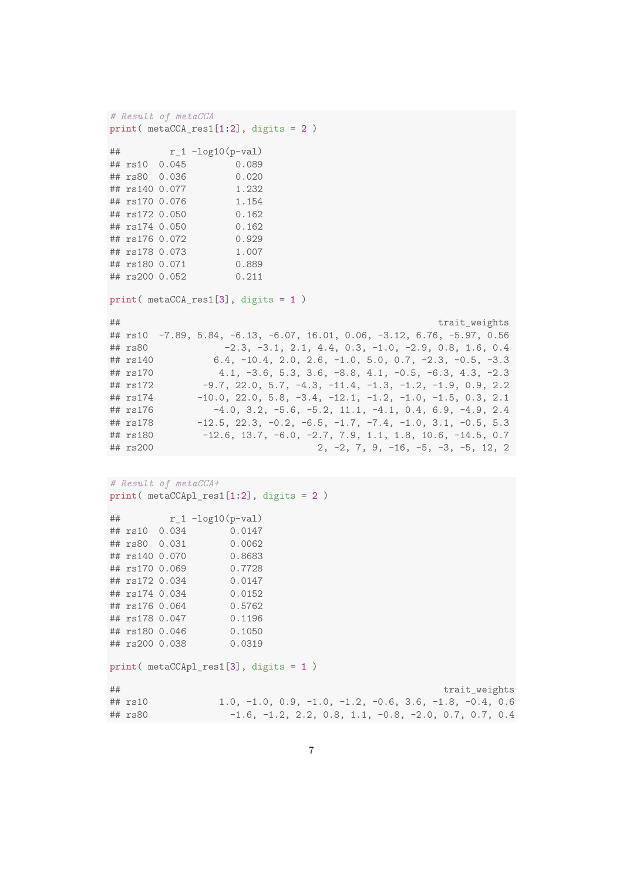```
# Result of metaCCA
print( metaCCA_res1[1:2], digits = 2 )
## r_1 - log10(p-val)## rs10 0.045 0.089
## rs80 0.036
## rs140 0.077 1.232
## rs170 0.076 1.154
## rs172 0.050 0.162
## rs174 0.050 0.162
## rs176 0.072 0.929
## rs178 0.073 1.007
## rs180 0.071 0.889
## rs200 0.052 0.211
print( metaCCA_res1[3], digits = 1 )
## trait_weights
## rs10 -7.89, 5.84, -6.13, -6.07, 16.01, 0.06, -3.12, 6.76, -5.97, 0.56<br>
## rs80 -2.3, -3.1, 2.1, 4.4, 0.3, -1.0, -2.9, 0.8, 1.6, 0.4-2.3, -3.1, 2.1, 4.4, 0.3, -1.0, -2.9, 0.8, 1.6, 0.4## rs140 6.4, -10.4, 2.0, 2.6, -1.0, 5.0, 0.7, -2.3, -0.5, -3.3
## rs170 4.1, -3.6, 5.3, 3.6, -8.8, 4.1, -0.5, -6.3, 4.3, -2.3
## rs172 -9.7, 22.0, 5.7, -4.3, -11.4, -1.3, -1.2, -1.9, 0.9, 2.2
## rs174 -10.0, 22.0, 5.8, -3.4, -12.1, -1.2, -1.0, -1.5, 0.3, 2.1
## rs176 -4.0, 3.2, -5.6, -5.2, 11.1, -4.1, 0.4, 6.9, -4.9, 2.4
## rs178 -12.5, 22.3, -0.2, -6.5, -1.7, -7.4, -1.0, 3.1, -0.5, 5.3## rs180 -12.6, 13.7, -6.0, -2.7, 7.9, 1.1, 1.8, 10.6, -14.5, 0.7
## rs200 2, -2, 7, 9, -16, -5, -3, -5, 12, 2
# Result of metaCCA+
print( metaCCApl_res1[1:2], digits = 2 )
## r_1 - log10(p-val)## rs10 0.034 0.0147
## rs80 0.031 0.0062
## rs140 0.070 0.8683
## rs170 0.069 0.7728
## rs172 0.034 0.0147
## rs174 0.034 0.0152
## rs176 0.064 0.5762
## rs178 0.047 0.1196
## rs180 0.046 0.1050
## rs200 0.038 0.0319
print( metaCCApl_res1[3], digits = 1 )
## trait_weights
## rs10 1.0, -1.0, 0.9, -1.0, -1.2, -0.6, 3.6, -1.8, -0.4, 0.6
## rs80 -1.6, -1.2, 2.2, 0.8, 1.1, -0.8, -2.0, 0.7, 0.7, 0.4
```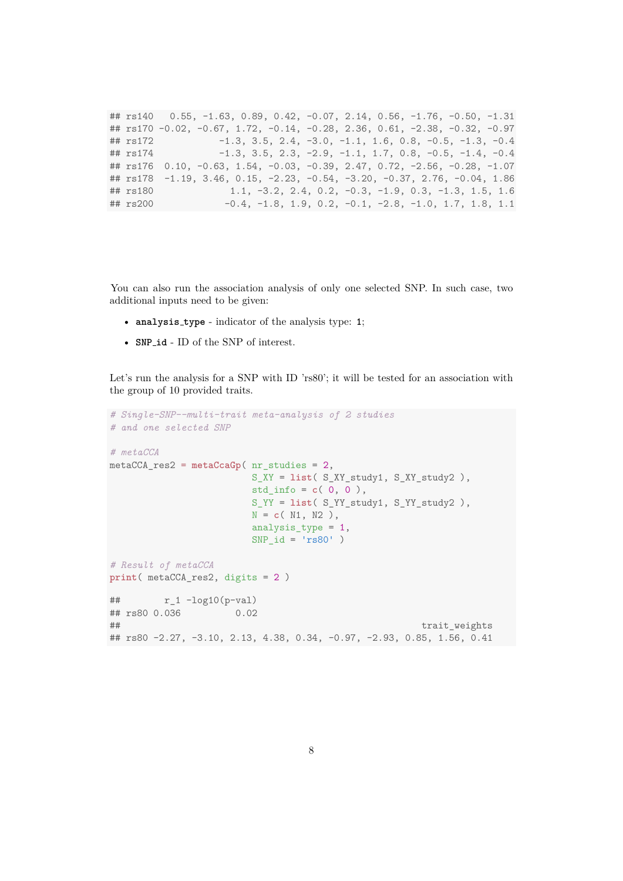## rs140 0.55, -1.63, 0.89, 0.42, -0.07, 2.14, 0.56, -1.76, -0.50, -1.31 ## rs170 -0.02, -0.67, 1.72, -0.14, -0.28, 2.36, 0.61, -2.38, -0.32, -0.97 ## rs172 -1.3, 3.5, 2.4, -3.0, -1.1, 1.6, 0.8, -0.5, -1.3, -0.4 ## rs174 -1.3, 3.5, 2.3, -2.9, -1.1, 1.7, 0.8, -0.5, -1.4, -0.4 ## rs176 0.10, -0.63, 1.54, -0.03, -0.39, 2.47, 0.72, -2.56, -0.28, -1.07 ##  $rs178 -1.19$ ,  $3.46$ ,  $0.15$ ,  $-2.23$ ,  $-0.54$ ,  $-3.20$ ,  $-0.37$ ,  $2.76$ ,  $-0.04$ ,  $1.86$ ## rs180 1.1, -3.2, 2.4, 0.2, -0.3, -1.9, 0.3, -1.3, 1.5, 1.6 ## rs200 -0.4, -1.8, 1.9, 0.2, -0.1, -2.8, -1.0, 1.7, 1.8, 1.1

You can also run the association analysis of only one selected SNP. In such case, two additional inputs need to be given:

- **analysis type** indicator of the analysis type: **1**;
- **SNP id** ID of the SNP of interest.

Let's run the analysis for a SNP with ID 'rs80'; it will be tested for an association with the group of 10 provided traits.

```
# Single-SNP--multi-trait meta-analysis of 2 studies
# and one selected SNP
# metaCCA
metaCCA_res2 = metaCcaGp( nr_studies = 2,
                                 S_XY = list( S_XY_study1, S_XY_study2 ),
                                 std info = c( 0, 0 ),
                                 S_YY = list( S_YY_study1, S_YY_study2 ),
                                 N = c( N1, N2 ),
                                 analysis_type = 1,
                                 SNP_id = 'rs80')
# Result of metaCCA
print( metaCCA_res2, digits = 2 )
## r_1 - log10(p-val)## rs80 0.036 0.02
## trait_weights = trait_trait_trait_trait_trait_trait_trait_trait_trait_trait_trait_trait_trait_trait_trait_trait_trait_trait_trait_trait_trait_trait_trait_trait_trait_trait_trait_trait_trait_trait_trait_trait_trait_trait
## rs80 -2.27, -3.10, 2.13, 4.38, 0.34, -0.97, -2.93, 0.85, 1.56, 0.41
```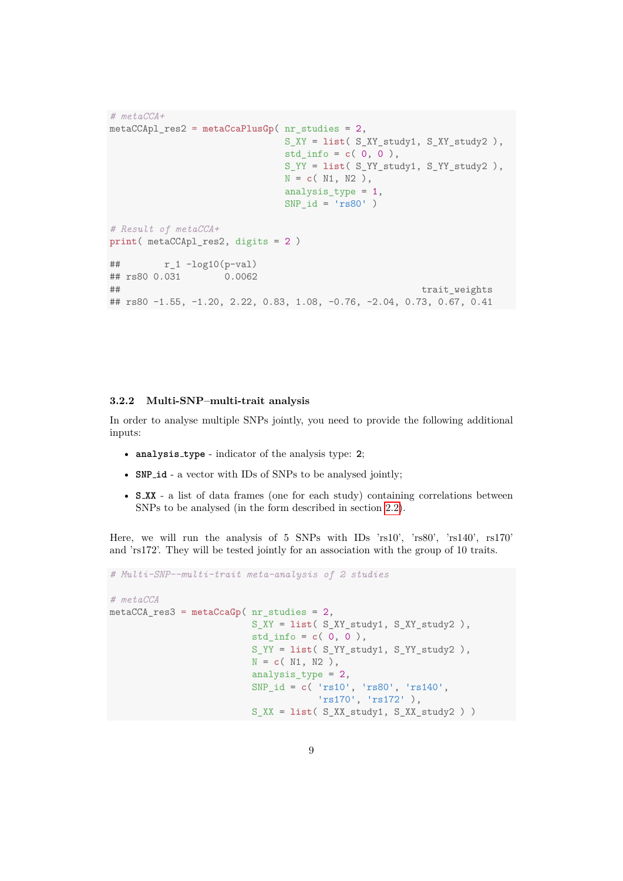```
# metaCCA+
metaCCApl_res2 = metaCcaPlusGp( nr_studies = 2,
                           S_XY = list( S_XY_study1, S_XY_study2 ),
                           std_info = c( 0, 0 ),
                           S_YY = list( S_YY_study1, S_YY_study2 ),
                           N = c(N1, N2),
                           analysis type = 1,
                           SNP_id = 'rs80')
# Result of metaCCA+
print( metaCCApl_res2, digits = 2 )
## r_1 - log10(p-val)## rs80 0.031 0.0062
## trait_weights
## rs80 -1.55, -1.20, 2.22, 0.83, 1.08, -0.76, -2.04, 0.73, 0.67, 0.41
```
#### <span id="page-8-0"></span>**3.2.2 Multi-SNP–multi-trait analysis**

In order to analyse multiple SNPs jointly, you need to provide the following additional inputs:

- **analysis type** indicator of the analysis type: **2**;
- **SNP id** a vector with IDs of SNPs to be analysed jointly;
- **S\_XX** a list of data frames (one for each study) containing correlations between SNPs to be analysed (in the form described in section [2.2\)](#page-3-0).

Here, we will run the analysis of 5 SNPs with IDs 'rs10', 'rs80', 'rs140', rs170' and 'rs172'. They will be tested jointly for an association with the group of 10 traits.

```
# Multi-SNP--multi-trait meta-analysis of 2 studies
# metaCCA
metaCCA_res3 = metaCcaGp( nr_studies = 2,
                          S_XY = list( S_XY_study1, S_XY_study2 ),
                          std info = c( 0, 0 ),
                          S_YY = list( S_YY_study1, S_YY_study2 ),
                          N = c( N1, N2 ),
                          analysis_type = 2,
                          SNP_id = c( 'rs10', 'rs80', 'rs140',
                                      'rs170', 'rs172' ),
                          S_XX = list( S_XX_study1, S_XX_study2 ) )
```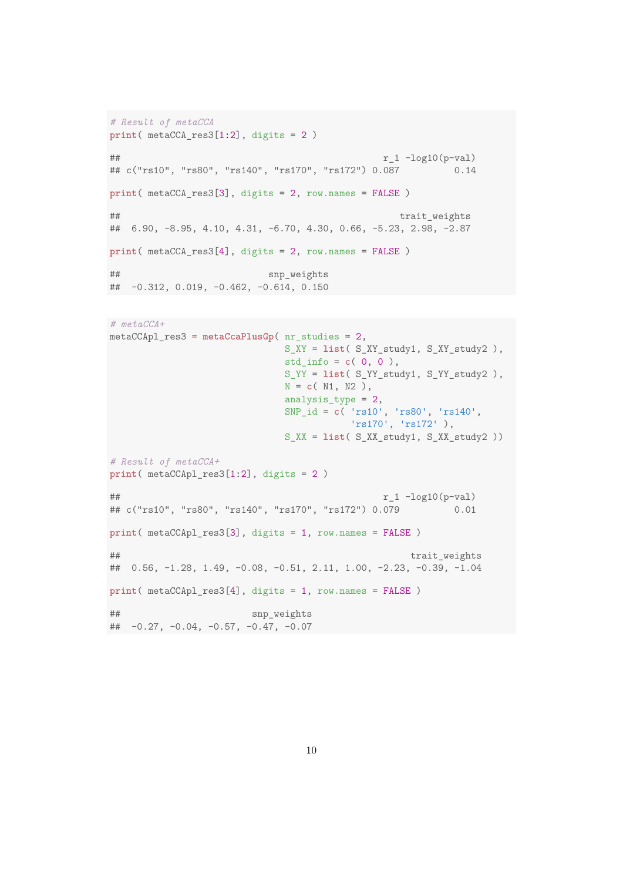```
# Result of metaCCA
print( metaCCA_res3[1:2], digits = 2 )
### r_1 - log10(p-val)## c("rs10", "rs80", "rs140", "rs170", "rs172") 0.087 0.14
print( metaCCA_res3[3], digits = 2, row.names = FALSE )
## trait_weights
## 6.90, -8.95, 4.10, 4.31, -6.70, 4.30, 0.66, -5.23, 2.98, -2.87
print( metaCCA_res3[4], digits = 2, row.names = FALSE )
## snp_weights
## -0.312, 0.019, -0.462, -0.614, 0.150
```

```
# metaCCA+
metaCCApl_res3 = metaCcaPlusGp( nr_studies = 2,
                           S_XY = list( S_XY_study1, S_XY_study2 ),
                           std_info = c( 0, 0 ),
                           S_YY = list( S_YY_study1, S_YY_study2 ),
                           N = c( N1, N2 ),
                           analysis_type = 2,
                           SNP_id = c( 'rs10', 'rs80', 'rs140',
                                     'rs170', 'rs172' ),
                           S_XX = list( S_XX_study1, S_XX_study2 ))
# Result of metaCCA+
print( metaCCApl_res3[1:2], digits = 2 )
# r_1 - log10(p-val)## c("rs10", "rs80", "rs140", "rs170", "rs172") 0.079 0.01
print( metaCCApl_res3[3], digits = 1, row.names = FALSE )
## trait_weights
## 0.56, -1.28, 1.49, -0.08, -0.51, 2.11, 1.00, -2.23, -0.39, -1.04
print( metaCCApl_res3[4], digits = 1, row.names = FALSE )
## snp_weights
## -0.27, -0.04, -0.57, -0.47, -0.07
```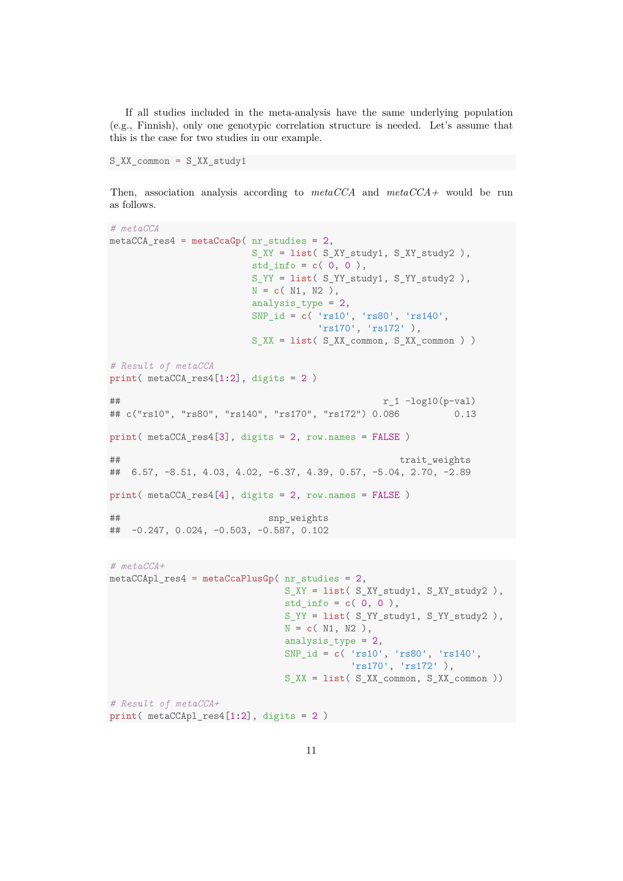If all studies included in the meta-analysis have the same underlying population (e.g., Finnish), only one genotypic correlation structure is needed. Let's assume that this is the case for two studies in our example.

S XX common = S XX study1

Then, association analysis according to *metaCCA* and *metaCCA+* would be run as follows.

```
# metaCCA
metaCCA_res4 = metaCcaGp( nr_studies = 2,
                     S_XY = list( S_XY_study1, S_XY_study2 ),
                     std_info = c( 0, 0 ),
                     S_YY = list( S_YY_study1, S_YY_study2 ),
                     N = c( N1, N2 ),
                     analysis_type = 2,
                     SNP_id = c( 'rs10', 'rs80', 'rs140',
                                'rs170', 'rs172' ),
                     S_XX = list( S_XX_common, S_XX_common ) )
# Result of metaCCA
print( metaCCA_res4[1:2], digits = 2 )
###
## c("rs10", "rs80", "rs140", "rs170", "rs172") 0.086 0.13
print( metaCCA_res4[3], digits = 2, row.names = FALSE )
## trait_weights
## 6.57, -8.51, 4.03, 4.02, -6.37, 4.39, 0.57, -5.04, 2.70, -2.89
print( metaCCA_res4[4], digits = 2, row.names = FALSE )
## snp_weights
## -0.247, 0.024, -0.503, -0.587, 0.102
# metaCCA+
metaCCApl_res4 = metaCcaPlusGp( nr_studies = 2,
```

```
S_XY = list( S_XY_study1, S_XY_study2 ),
                                std info = c( 0, 0 ),
                                S_YY = list( S_YY_study1, S_YY_study2 ),
                                N = c( N1, N2 ),
                                analysis_type = 2,
                                SNP_id = c( 'rs10', 'rs80', 'rs140',
                                            'rs170', 'rs172' ),
                                S_XX = list( S_XX_common, S_XX_common ))
# Result of metaCCA+
```

```
print( metaCCApl_res4[1:2], digits = 2 )
```